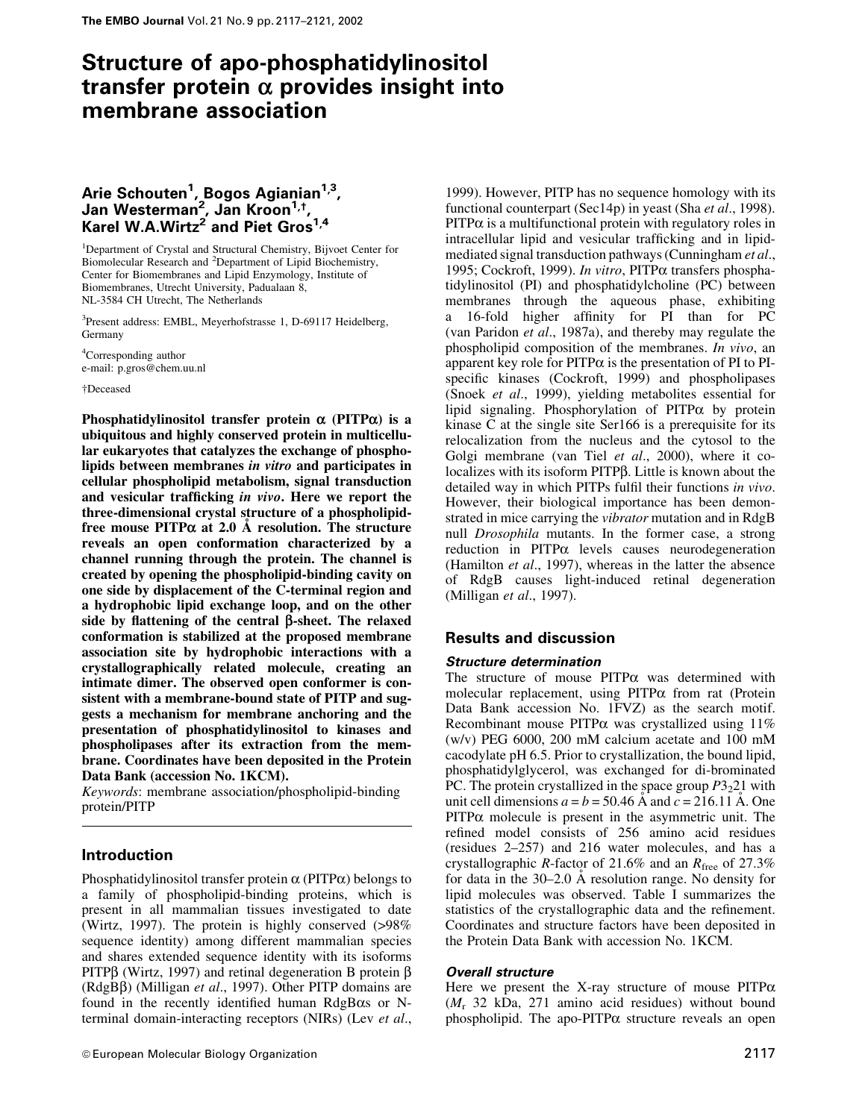# Structure of apo-phosphatidylinositol transfer protein  $\alpha$  provides insight into membrane association

# Arie Schouten<sup>1</sup>, Bogos Agianian<sup>1,3</sup>, Jan Westerman<sup>2</sup>, Jan Kroon<sup>1,†</sup>, Karel W.A.Wirtz $^2$  and Piet Gros $^{1,4}$

<sup>1</sup>Department of Crystal and Structural Chemistry, Bijvoet Center for Biomolecular Research and <sup>2</sup>Department of Lipid Biochemistry, Center for Biomembranes and Lipid Enzymology, Institute of Biomembranes, Utrecht University, Padualaan 8, NL-3584 CH Utrecht, The Netherlands

<sup>3</sup>Present address: EMBL, Meyerhofstrasse 1, D-69117 Heidelberg, Germany

4 Corresponding author e-mail: p.gros@chem.uu.nl

²Deceased

Phosphatidylinositol transfer protein  $\alpha$  (PITP $\alpha$ ) is a ubiquitous and highly conserved protein in multicellular eukaryotes that catalyzes the exchange of phospholipids between membranes in vitro and participates in cellular phospholipid metabolism, signal transduction and vesicular trafficking in vivo. Here we report the three-dimensional crystal structure of a phospholipidfree mouse  $PITP\alpha$  at 2.0 Å resolution. The structure reveals an open conformation characterized by a channel running through the protein. The channel is created by opening the phospholipid-binding cavity on one side by displacement of the C-terminal region and a hydrophobic lipid exchange loop, and on the other side by flattening of the central  $\beta$ -sheet. The relaxed conformation is stabilized at the proposed membrane association site by hydrophobic interactions with a crystallographically related molecule, creating an intimate dimer. The observed open conformer is consistent with a membrane-bound state of PITP and suggests a mechanism for membrane anchoring and the presentation of phosphatidylinositol to kinases and phospholipases after its extraction from the membrane. Coordinates have been deposited in the Protein Data Bank (accession No. 1KCM).

Keywords: membrane association/phospholipid-binding protein/PITP

# Introduction

Phosphatidylinositol transfer protein  $\alpha$  (PITP $\alpha$ ) belongs to a family of phospholipid-binding proteins, which is present in all mammalian tissues investigated to date (Wirtz, 1997). The protein is highly conserved (>98% sequence identity) among different mammalian species and shares extended sequence identity with its isoforms PITP $\beta$  (Wirtz, 1997) and retinal degeneration B protein  $\beta$  $(RdgB\beta)$  (Milligan *et al.*, 1997). Other PITP domains are found in the recently identified human  $RdgB\alpha s$  or Nterminal domain-interacting receptors (NIRs) (Lev et al.,

1999). However, PITP has no sequence homology with its functional counterpart (Sec14p) in yeast (Sha *et al.*, 1998).  $PITP\alpha$  is a multifunctional protein with regulatory roles in intracellular lipid and vesicular trafficking and in lipidmediated signal transduction pathways (Cunningham et al., 1995; Cockroft, 1999). In vitro, PITPa transfers phosphatidylinositol (PI) and phosphatidylcholine (PC) between membranes through the aqueous phase, exhibiting a 16-fold higher affinity for PI than for PC (van Paridon et al., 1987a), and thereby may regulate the phospholipid composition of the membranes. In vivo, an apparent key role for  $PITP\alpha$  is the presentation of PI to PIspecific kinases (Cockroft, 1999) and phospholipases (Snoek et al., 1999), yielding metabolites essential for lipid signaling. Phosphorylation of  $PITP\alpha$  by protein kinase C at the single site Ser166 is a prerequisite for its relocalization from the nucleus and the cytosol to the Golgi membrane (van Tiel et al., 2000), where it colocalizes with its isoform PITPß. Little is known about the detailed way in which PITPs fulfil their functions in vivo. However, their biological importance has been demonstrated in mice carrying the vibrator mutation and in RdgB null Drosophila mutants. In the former case, a strong  $reduction$  in  $PITP\alpha$  levels causes neurodegeneration (Hamilton et al., 1997), whereas in the latter the absence of RdgB causes light-induced retinal degeneration (Milligan *et al.*, 1997).

# Results and discussion

# Structure determination

The structure of mouse  $PITP\alpha$  was determined with molecular replacement, using  $PITP\alpha$  from rat (Protein Data Bank accession No. 1FVZ) as the search motif. Recombinant mouse PITP $\alpha$  was crystallized using 11% (w/v) PEG 6000, 200 mM calcium acetate and 100 mM cacodylate pH 6.5. Prior to crystallization, the bound lipid, phosphatidylglycerol, was exchanged for di-brominated PC. The protein crystallized in the space group  $P3<sub>2</sub>21$  with unit cell dimensions  $a = b = 50.46$  Å and  $c = 216.11$  Å. One  $PITP\alpha$  molecule is present in the asymmetric unit. The refined model consists of 256 amino acid residues (residues 2±257) and 216 water molecules, and has a crystallographic R-factor of 21.6% and an  $R_{\text{free}}$  of 27.3% for data in the  $30-2.0$  Å resolution range. No density for lipid molecules was observed. Table I summarizes the statistics of the crystallographic data and the refinement. Coordinates and structure factors have been deposited in the Protein Data Bank with accession No. 1KCM.

# Overall structure

Here we present the X-ray structure of mouse  $PITP\alpha$  $(M_r 32 kDa, 271$  amino acid residues) without bound phospholipid. The apo-PITP $\alpha$  structure reveals an open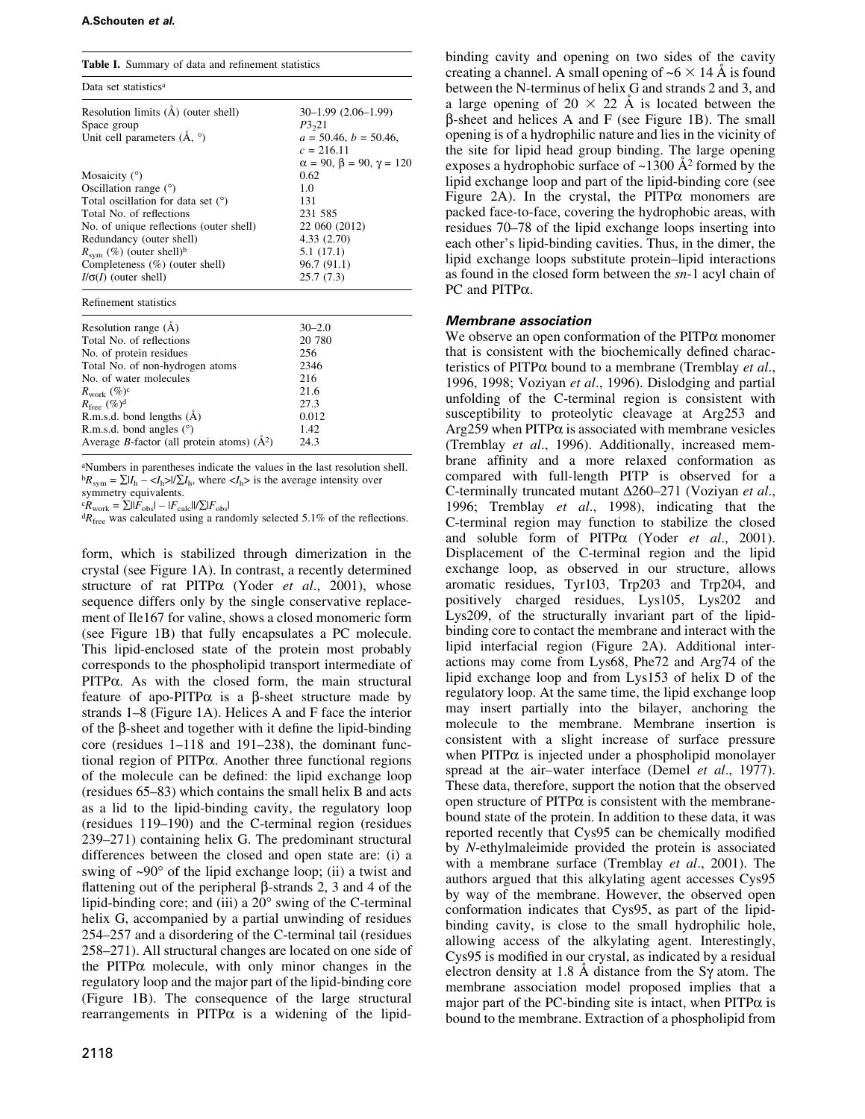| <b>Table I.</b> Summary of data and refinement statistics |                                         |
|-----------------------------------------------------------|-----------------------------------------|
| Data set statistics <sup>a</sup>                          |                                         |
| Resolution limits (Å) (outer shell)                       | $30-1.99(2.06-1.99)$                    |
| Space group                                               | P3,21                                   |
| Unit cell parameters $(A, \circ)$                         | $a = 50.46, b = 50.46,$                 |
|                                                           | $c = 216.11$                            |
|                                                           | $\alpha = 90, \beta = 90, \gamma = 120$ |
| Mosaicity $(°)$                                           | 0.62                                    |
| Oscillation range $(°)$                                   | 1.0                                     |
| Total oscillation for data set $(°)$                      | 131                                     |
| Total No. of reflections                                  | 231 585                                 |
| No. of unique reflections (outer shell)                   | 22 060 (2012)                           |
| Redundancy (outer shell)                                  | 4.33(2.70)                              |
| $R_{sym}$ (%) (outer shell) <sup>b</sup>                  | 5.1(17.1)                               |
| Completeness (%) (outer shell)                            | 96.7 (91.1)                             |
| $I/\sigma(I)$ (outer shell)                               | 25.7(7.3)                               |
| Refinement statistics                                     |                                         |
| Resolution range $(\dot{A})$                              | $30 - 2.0$                              |
| Total No. of reflections                                  | 20 780                                  |
| No. of protein residues                                   | 256                                     |
| Total No. of non-hydrogen atoms                           | 2346                                    |
| No. of water molecules                                    | 216                                     |
| $R_{\rm work}$ (%) <sup>c</sup>                           | 21.6                                    |
| $R_{\text{free}} (\%)^{\text{d}}$                         | 27.3                                    |
| $R.m.s.d.$ bond lengths $(A)$                             | 0.012                                   |
| R.m.s.d. bond angles $(°)$                                | 1.42                                    |
| Average B-factor (all protein atoms) $(A^2)$              | 24.3                                    |

a Numbers in parentheses indicate the values in the last resolution shell.  ${}^{b}R_{\text{sym}} = \sum |I_{h} - \langle I_{h} \rangle|/\sum I_{h}$ , where  $\langle I_{h} \rangle$  is the average intensity over symmetry equivalents.

 ${}^c \tilde{R}_{work} = \sum_{\text{m}} |F_{\text{obs}}| - |F_{\text{calc}}| / [\sum_{\text{obs}} |F_{\text{obs}}|]$ 

 ${}^{d}R_{\text{free}}$  was calculated using a randomly selected 5.1% of the reflections.

form, which is stabilized through dimerization in the crystal (see Figure 1A). In contrast, a recently determined structure of rat  $PITP\alpha$  (Yoder et al., 2001), whose sequence differs only by the single conservative replacement of Ile167 for valine, shows a closed monomeric form (see Figure 1B) that fully encapsulates a PC molecule. This lipid-enclosed state of the protein most probably corresponds to the phospholipid transport intermediate of  $PITP\alpha$ . As with the closed form, the main structural feature of apo-PITP $\alpha$  is a  $\beta$ -sheet structure made by strands  $1-8$  (Figure 1A). Helices A and F face the interior of the  $\beta$ -sheet and together with it define the lipid-binding core (residues  $1-118$  and  $191-238$ ), the dominant functional region of PITPa. Another three functional regions of the molecule can be defined: the lipid exchange loop (residues 65-83) which contains the small helix B and acts as a lid to the lipid-binding cavity, the regulatory loop  $(residues 119–190)$  and the C-terminal region (residues 239-271) containing helix G. The predominant structural differences between the closed and open state are: (i) a swing of  $\sim 90^\circ$  of the lipid exchange loop; (ii) a twist and flattening out of the peripheral  $\beta$ -strands 2, 3 and 4 of the lipid-binding core; and (iii) a 20° swing of the C-terminal helix G, accompanied by a partial unwinding of residues 254–257 and a disordering of the C-terminal tail (residues 258–271). All structural changes are located on one side of the PITP $\alpha$  molecule, with only minor changes in the regulatory loop and the major part of the lipid-binding core (Figure 1B). The consequence of the large structural rearrangements in PITP $\alpha$  is a widening of the lipid-

binding cavity and opening on two sides of the cavity creating a channel. A small opening of  $\sim 6 \times 14$  Å is found between the N-terminus of helix G and strands 2 and 3, and a large opening of  $20 \times 22$  Å is located between the b-sheet and helices A and F (see Figure 1B). The small opening is of a hydrophilic nature and lies in the vicinity of the site for lipid head group binding. The large opening exposes a hydrophobic surface of  $\sim$ 1300  $\AA$ <sup>2</sup> formed by the lipid exchange loop and part of the lipid-binding core (see Figure 2A). In the crystal, the PITP $\alpha$  monomers are packed face-to-face, covering the hydrophobic areas, with residues 70–78 of the lipid exchange loops inserting into each other's lipid-binding cavities. Thus, in the dimer, the lipid exchange loops substitute protein-lipid interactions as found in the closed form between the sn-1 acyl chain of PC and PITP $\alpha$ .

# Membrane association

We observe an open conformation of the  $\text{PITP}\alpha$  monomer that is consistent with the biochemically defined characteristics of PITP $\alpha$  bound to a membrane (Tremblay *et al.*, 1996, 1998; Voziyan et al., 1996). Dislodging and partial unfolding of the C-terminal region is consistent with susceptibility to proteolytic cleavage at Arg253 and  $Arg259$  when PITP $\alpha$  is associated with membrane vesicles (Tremblay et al., 1996). Additionally, increased membrane affinity and a more relaxed conformation as compared with full-length PITP is observed for a C-terminally truncated mutant  $\Delta 260-271$  (Voziyan et al., 1996; Tremblay et al., 1998), indicating that the C-terminal region may function to stabilize the closed and soluble form of PITP $\alpha$  (Yoder *et al.*, 2001). Displacement of the C-terminal region and the lipid exchange loop, as observed in our structure, allows aromatic residues, Tyr103, Trp203 and Trp204, and positively charged residues, Lys105, Lys202 and Lys209, of the structurally invariant part of the lipidbinding core to contact the membrane and interact with the lipid interfacial region (Figure 2A). Additional interactions may come from Lys68, Phe72 and Arg74 of the lipid exchange loop and from Lys153 of helix D of the regulatory loop. At the same time, the lipid exchange loop may insert partially into the bilayer, anchoring the molecule to the membrane. Membrane insertion is consistent with a slight increase of surface pressure when  $PITP\alpha$  is injected under a phospholipid monolayer spread at the air-water interface (Demel et al., 1977). These data, therefore, support the notion that the observed open structure of  $PITP\alpha$  is consistent with the membranebound state of the protein. In addition to these data, it was reported recently that Cys95 can be chemically modified by N-ethylmaleimide provided the protein is associated with a membrane surface (Tremblay et al., 2001). The authors argued that this alkylating agent accesses Cys95 by way of the membrane. However, the observed open conformation indicates that Cys95, as part of the lipidbinding cavity, is close to the small hydrophilic hole, allowing access of the alkylating agent. Interestingly, Cys95 is modified in our crystal, as indicated by a residual electron density at 1.8 Å distance from the S $\gamma$  atom. The membrane association model proposed implies that a major part of the PC-binding site is intact, when  $\text{PITP}\alpha$  is bound to the membrane. Extraction of a phospholipid from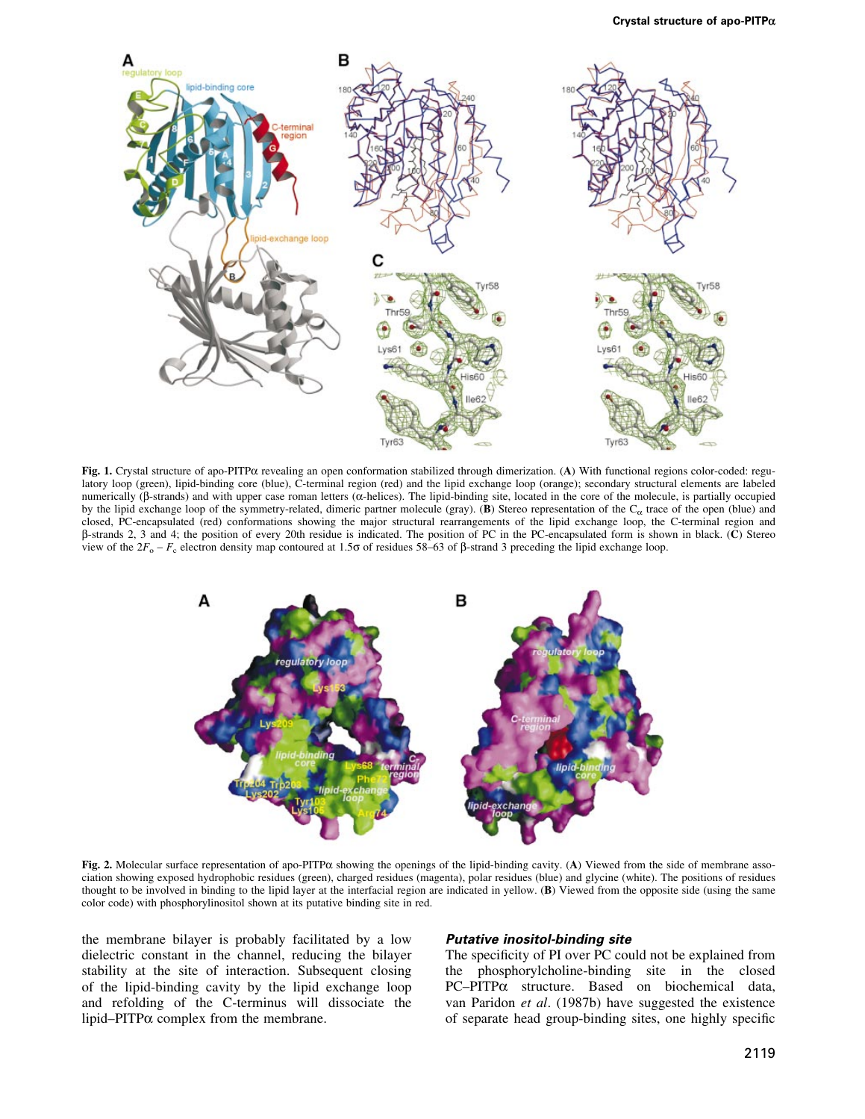

Fig. 1. Crystal structure of apo-PITPa revealing an open conformation stabilized through dimerization. (A) With functional regions color-coded: regulatory loop (green), lipid-binding core (blue), C-terminal region (red) and the lipid exchange loop (orange); secondary structural elements are labeled numerically ( $\beta$ -strands) and with upper case roman letters ( $\alpha$ -helices). The lipid-binding site, located in the core of the molecule, is partially occupied by the lipid exchange loop of the symmetry-related, dimeric partner molecule (gray). (B) Stereo representation of the  $C_{\alpha}$  trace of the open (blue) and closed, PC-encapsulated (red) conformations showing the major structural rearrangements of the lipid exchange loop, the C-terminal region and b-strands 2, 3 and 4; the position of every 20th residue is indicated. The position of PC in the PC-encapsulated form is shown in black. (C) Stereo view of the  $2F_o - F_c$  electron density map contoured at 1.50 of residues 58–63 of  $\beta$ -strand 3 preceding the lipid exchange loop.



Fig. 2. Molecular surface representation of apo-PITP $\alpha$  showing the openings of the lipid-binding cavity. (A) Viewed from the side of membrane association showing exposed hydrophobic residues (green), charged residues (magenta), polar residues (blue) and glycine (white). The positions of residues thought to be involved in binding to the lipid layer at the interfacial region are indicated in yellow. (B) Viewed from the opposite side (using the same color code) with phosphorylinositol shown at its putative binding site in red.

the membrane bilayer is probably facilitated by a low dielectric constant in the channel, reducing the bilayer stability at the site of interaction. Subsequent closing of the lipid-binding cavity by the lipid exchange loop and refolding of the C-terminus will dissociate the lipid-PITP $\alpha$  complex from the membrane.

#### Putative inositol-binding site

The specificity of PI over PC could not be explained from the phosphorylcholine-binding site in the closed  $PC-PITP\alpha$  structure. Based on biochemical data, van Paridon et al. (1987b) have suggested the existence of separate head group-binding sites, one highly specific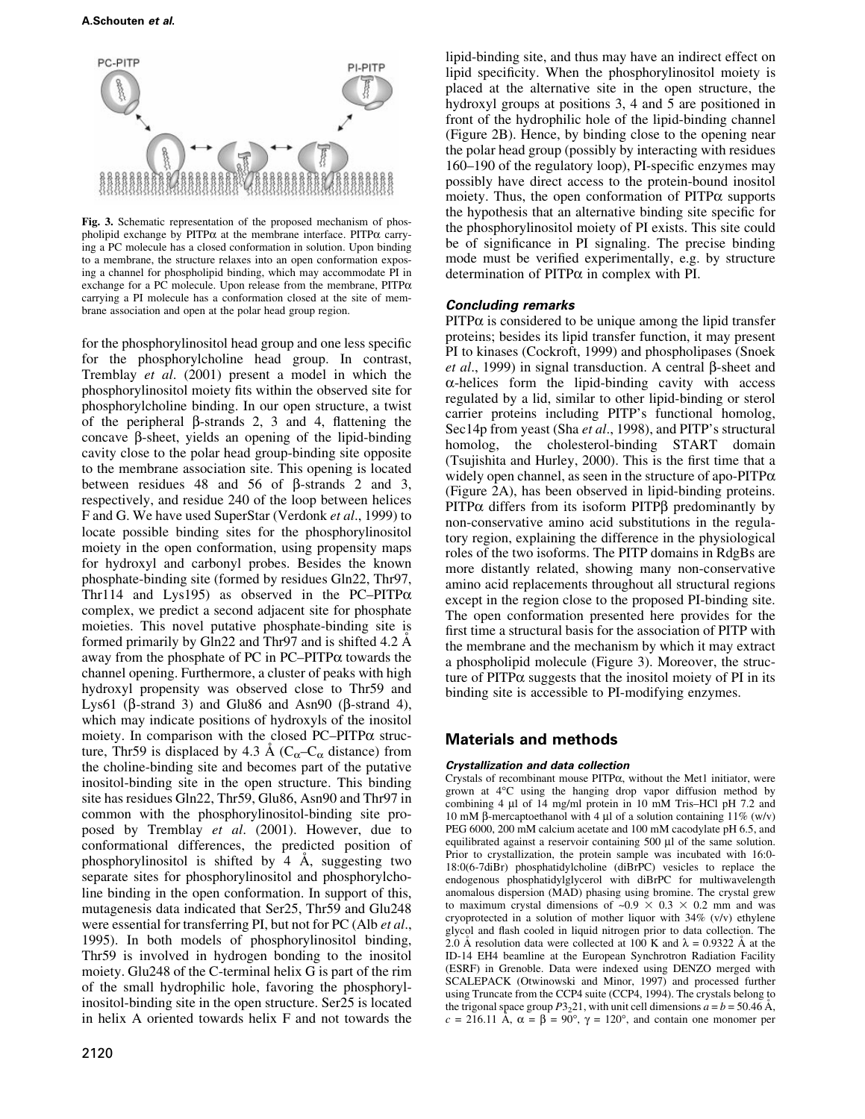

Fig. 3. Schematic representation of the proposed mechanism of phospholipid exchange by  $PITP\alpha$  at the membrane interface.  $PITP\alpha$  carrying a PC molecule has a closed conformation in solution. Upon binding to a membrane, the structure relaxes into an open conformation exposing a channel for phospholipid binding, which may accommodate PI in exchange for a PC molecule. Upon release from the membrane,  $PITP\alpha$ carrying a PI molecule has a conformation closed at the site of membrane association and open at the polar head group region.

for the phosphorylinositol head group and one less specific for the phosphorylcholine head group. In contrast, Tremblay et al. (2001) present a model in which the phosphorylinositol moiety fits within the observed site for phosphorylcholine binding. In our open structure, a twist of the peripheral  $\beta$ -strands 2, 3 and 4, flattening the concave  $\beta$ -sheet, yields an opening of the lipid-binding cavity close to the polar head group-binding site opposite to the membrane association site. This opening is located between residues 48 and 56 of  $\beta$ -strands 2 and 3, respectively, and residue 240 of the loop between helices F and G. We have used SuperStar (Verdonk et al., 1999) to locate possible binding sites for the phosphorylinositol moiety in the open conformation, using propensity maps for hydroxyl and carbonyl probes. Besides the known phosphate-binding site (formed by residues Gln22, Thr97, Thr114 and Lys195) as observed in the PC-PITP $\alpha$ complex, we predict a second adjacent site for phosphate moieties. This novel putative phosphate-binding site is formed primarily by Gln22 and Thr97 and is shifted 4.2  $\AA$ away from the phosphate of PC in  $PC-PITP\alpha$  towards the channel opening. Furthermore, a cluster of peaks with high hydroxyl propensity was observed close to Thr59 and Lys61 ( $\beta$ -strand 3) and Glu86 and Asn90 ( $\beta$ -strand 4), which may indicate positions of hydroxyls of the inositol moiety. In comparison with the closed  $PC-PITP\alpha$  structure, Thr59 is displaced by 4.3 Å ( $C_{\alpha}-C_{\alpha}$  distance) from the choline-binding site and becomes part of the putative inositol-binding site in the open structure. This binding site has residues Gln22, Thr59, Glu86, Asn90 and Thr97 in common with the phosphorylinositol-binding site proposed by Tremblay et al. (2001). However, due to conformational differences, the predicted position of phosphorylinositol is shifted by  $4 \text{ Å}$ , suggesting two separate sites for phosphorylinositol and phosphorylcholine binding in the open conformation. In support of this, mutagenesis data indicated that Ser25, Thr59 and Glu248 were essential for transferring PI, but not for PC (Alb *et al.*, 1995). In both models of phosphorylinositol binding, Thr59 is involved in hydrogen bonding to the inositol moiety. Glu248 of the C-terminal helix G is part of the rim of the small hydrophilic hole, favoring the phosphorylinositol-binding site in the open structure. Ser25 is located in helix A oriented towards helix F and not towards the

lipid-binding site, and thus may have an indirect effect on lipid specificity. When the phosphorylinositol moiety is placed at the alternative site in the open structure, the hydroxyl groups at positions 3, 4 and 5 are positioned in front of the hydrophilic hole of the lipid-binding channel (Figure 2B). Hence, by binding close to the opening near the polar head group (possibly by interacting with residues 160–190 of the regulatory loop), PI-specific enzymes may possibly have direct access to the protein-bound inositol moiety. Thus, the open conformation of  $PITP\alpha$  supports the hypothesis that an alternative binding site specific for the phosphorylinositol moiety of PI exists. This site could be of significance in PI signaling. The precise binding mode must be verified experimentally, e.g. by structure determination of  $PITP\alpha$  in complex with PI.

# Concluding remarks

 $PITP\alpha$  is considered to be unique among the lipid transfer proteins; besides its lipid transfer function, it may present PI to kinases (Cockroft, 1999) and phospholipases (Snoek *et al.*, 1999) in signal transduction. A central  $\beta$ -sheet and  $\alpha$ -helices form the lipid-binding cavity with access regulated by a lid, similar to other lipid-binding or sterol carrier proteins including PITP's functional homolog, Sec14p from yeast (Sha et al., 1998), and PITP's structural homolog, the cholesterol-binding START domain (Tsujishita and Hurley,  $2000$ ). This is the first time that a widely open channel, as seen in the structure of apo-PITP $\alpha$ (Figure 2A), has been observed in lipid-binding proteins. PITP $\alpha$  differs from its isoform PITP $\beta$  predominantly by non-conservative amino acid substitutions in the regulatory region, explaining the difference in the physiological roles of the two isoforms. The PITP domains in RdgBs are more distantly related, showing many non-conservative amino acid replacements throughout all structural regions except in the region close to the proposed PI-binding site. The open conformation presented here provides for the first time a structural basis for the association of PITP with the membrane and the mechanism by which it may extract a phospholipid molecule (Figure 3). Moreover, the structure of  $PITP\alpha$  suggests that the inositol moiety of PI in its binding site is accessible to PI-modifying enzymes.

# Materials and methods

#### Crystallization and data collection

Crystals of recombinant mouse PITPa, without the Met1 initiator, were grown at 4°C using the hanging drop vapor diffusion method by combining 4 µl of 14 mg/ml protein in 10 mM Tris-HCl pH 7.2 and 10 mM  $\beta$ -mercaptoethanol with 4 µl of a solution containing 11% (w/v) PEG 6000, 200 mM calcium acetate and 100 mM cacodylate pH 6.5, and equilibrated against a reservoir containing 500 µl of the same solution. Prior to crystallization, the protein sample was incubated with 16:0- 18:0(6-7diBr) phosphatidylcholine (diBrPC) vesicles to replace the endogenous phosphatidylglycerol with diBrPC for multiwavelength anomalous dispersion (MAD) phasing using bromine. The crystal grew to maximum crystal dimensions of  $\sim 0.9 \times 0.3 \times 0.2$  mm and was cryoprotected in a solution of mother liquor with 34% (v/v) ethylene glycol and flash cooled in liquid nitrogen prior to data collection. The 2.0 Å resolution data were collected at 100 K and  $\lambda = 0.9322$  Å at the ID-14 EH4 beamline at the European Synchrotron Radiation Facility (ESRF) in Grenoble. Data were indexed using DENZO merged with SCALEPACK (Otwinowski and Minor, 1997) and processed further using Truncate from the CCP4 suite (CCP4, 1994). The crystals belong to the trigonal space group  $P3<sub>2</sub>21$ , with unit cell dimensions  $a = b = 50.46$  Å,  $c = 216.11$  Å,  $\alpha = \beta = 90^{\circ}$ ,  $\gamma = 120^{\circ}$ , and contain one monomer per